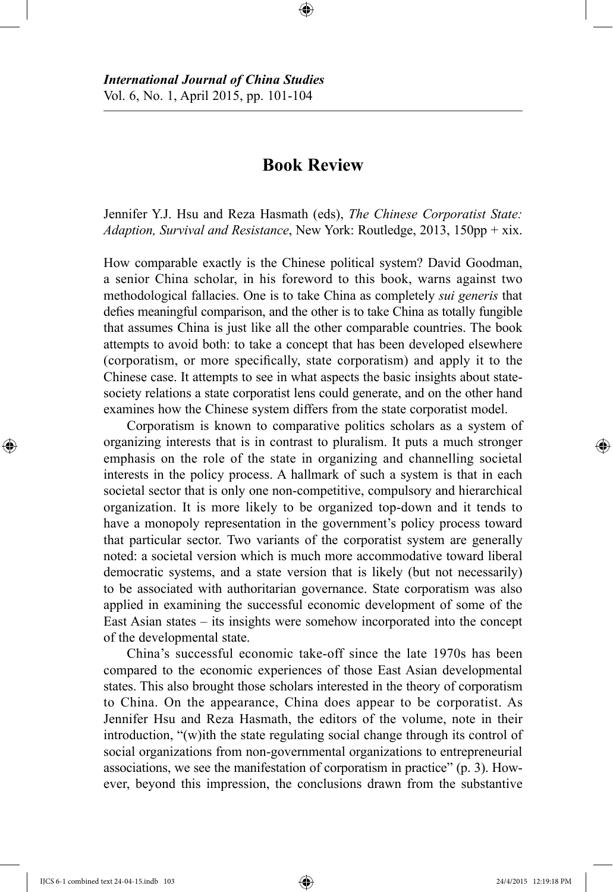## **Book Review**

Jennifer Y.J. Hsu and Reza Hasmath (eds), *The Chinese Corporatist State: Adaption, Survival and Resistance*, New York: Routledge, 2013, 150pp + xix.

How comparable exactly is the Chinese political system? David Goodman, a senior China scholar, in his foreword to this book, warns against two methodological fallacies. One is to take China as completely *sui generis* that defies meaningful comparison, and the other is to take China as totally fungible that assumes China is just like all the other comparable countries. The book attempts to avoid both: to take a concept that has been developed elsewhere (corporatism, or more specifically, state corporatism) and apply it to the Chinese case. It attempts to see in what aspects the basic insights about statesociety relations a state corporatist lens could generate, and on the other hand examines how the Chinese system differs from the state corporatist model.

Corporatism is known to comparative politics scholars as a system of organizing interests that is in contrast to pluralism. It puts a much stronger emphasis on the role of the state in organizing and channelling societal interests in the policy process. A hallmark of such a system is that in each societal sector that is only one non-competitive, compulsory and hierarchical organization. It is more likely to be organized top-down and it tends to have a monopoly representation in the government's policy process toward that particular sector. Two variants of the corporatist system are generally noted: a societal version which is much more accommodative toward liberal democratic systems, and a state version that is likely (but not necessarily) to be associated with authoritarian governance. State corporatism was also applied in examining the successful economic development of some of the East Asian states – its insights were somehow incorporated into the concept of the developmental state.

China's successful economic take-off since the late 1970s has been compared to the economic experiences of those East Asian developmental states. This also brought those scholars interested in the theory of corporatism to China. On the appearance, China does appear to be corporatist. As Jennifer Hsu and Reza Hasmath, the editors of the volume, note in their introduction, "(w)ith the state regulating social change through its control of social organizations from non-governmental organizations to entrepreneurial associations, we see the manifestation of corporatism in practice" (p. 3). However, beyond this impression, the conclusions drawn from the substantive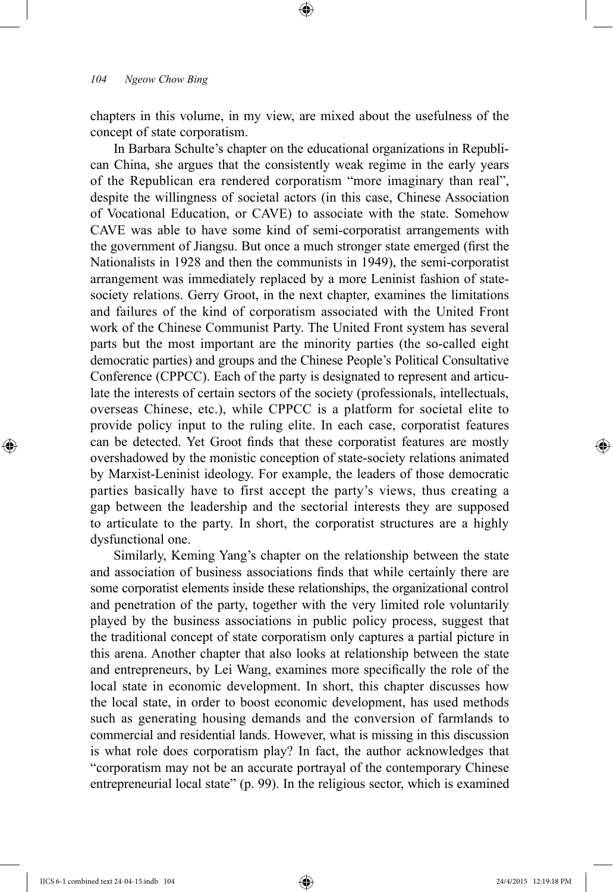chapters in this volume, in my view, are mixed about the usefulness of the concept of state corporatism.

In Barbara Schulte's chapter on the educational organizations in Republican China, she argues that the consistently weak regime in the early years of the Republican era rendered corporatism "more imaginary than real", despite the willingness of societal actors (in this case, Chinese Association of Vocational Education, or CAVE) to associate with the state. Somehow CAVE was able to have some kind of semi-corporatist arrangements with the government of Jiangsu. But once a much stronger state emerged (first the Nationalists in 1928 and then the communists in 1949), the semi-corporatist arrangement was immediately replaced by a more Leninist fashion of statesociety relations. Gerry Groot, in the next chapter, examines the limitations and failures of the kind of corporatism associated with the United Front work of the Chinese Communist Party. The United Front system has several parts but the most important are the minority parties (the so-called eight democratic parties) and groups and the Chinese People's Political Consultative Conference (CPPCC). Each of the party is designated to represent and articulate the interests of certain sectors of the society (professionals, intellectuals, overseas Chinese, etc.), while CPPCC is a platform for societal elite to provide policy input to the ruling elite. In each case, corporatist features can be detected. Yet Groot finds that these corporatist features are mostly overshadowed by the monistic conception of state-society relations animated by Marxist-Leninist ideology. For example, the leaders of those democratic parties basically have to first accept the party's views, thus creating a gap between the leadership and the sectorial interests they are supposed to articulate to the party. In short, the corporatist structures are a highly dysfunctional one.

Similarly, Keming Yang's chapter on the relationship between the state and association of business associations finds that while certainly there are some corporatist elements inside these relationships, the organizational control and penetration of the party, together with the very limited role voluntarily played by the business associations in public policy process, suggest that the traditional concept of state corporatism only captures a partial picture in this arena. Another chapter that also looks at relationship between the state and entrepreneurs, by Lei Wang, examines more specifically the role of the local state in economic development. In short, this chapter discusses how the local state, in order to boost economic development, has used methods such as generating housing demands and the conversion of farmlands to commercial and residential lands. However, what is missing in this discussion is what role does corporatism play? In fact, the author acknowledges that "corporatism may not be an accurate portrayal of the contemporary Chinese entrepreneurial local state" (p. 99). In the religious sector, which is examined